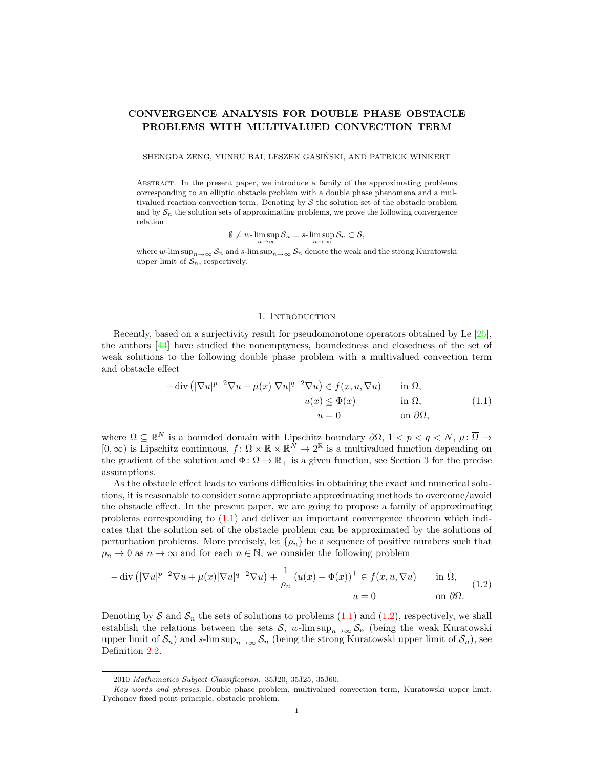# CONVERGENCE ANALYSIS FOR DOUBLE PHASE OBSTACLE PROBLEMS WITH MULTIVALUED CONVECTION TERM

SHENGDA ZENG, YUNRU BAI, LESZEK GASINSKI, AND PATRICK WINKERT ´

Abstract. In the present paper, we introduce a family of the approximating problems corresponding to an elliptic obstacle problem with a double phase phenomena and a multivalued reaction convection term. Denoting by  $\mathcal S$  the solution set of the obstacle problem and by  $S_n$  the solution sets of approximating problems, we prove the following convergence relation

$$
\emptyset\neq w\text{-}\limsup_{n\to\infty}\mathcal{S}_n=s\text{-}\limsup_{n\to\infty}\mathcal{S}_n\subset\mathcal{S},
$$

where w-lim sup $S_n \to \infty$  S<sub>n</sub> and s-lim sup $n \to \infty$  S<sub>n</sub> denote the weak and the strong Kuratowski upper limit of  $S_n$ , respectively.

#### 1. INTRODUCTION

Recently, based on a surjectivity result for pseudomonotone operators obtained by Le [\[25\]](#page-11-0), the authors [\[44\]](#page-12-0) have studied the nonemptyness, boundedness and closedness of the set of weak solutions to the following double phase problem with a multivalued convection term and obstacle effect

<span id="page-0-0"></span>
$$
-\operatorname{div}\left(|\nabla u|^{p-2}\nabla u + \mu(x)|\nabla u|^{q-2}\nabla u\right) \in f(x, u, \nabla u) \quad \text{in } \Omega,
$$

$$
u(x) \le \Phi(x) \quad \text{in } \Omega,
$$

$$
u = 0 \quad \text{on } \partial\Omega,
$$

$$
(1.1)
$$

where  $\Omega \subseteq \mathbb{R}^N$  is a bounded domain with Lipschitz boundary  $\partial \Omega$ ,  $1 < p < q < N$ ,  $\mu$ :  $\overline{\Omega} \to$  $[0,\infty)$  is Lipschitz continuous,  $f: \Omega \times \mathbb{R} \times \mathbb{R}^N \to 2^{\mathbb{R}}$  is a multivalued function depending on the gradient of the solution and  $\Phi\colon \Omega \to \mathbb{R}_+$  is a given function, see Section [3](#page-3-0) for the precise assumptions.

As the obstacle effect leads to various difficulties in obtaining the exact and numerical solutions, it is reasonable to consider some appropriate approximating methods to overcome/avoid the obstacle effect. In the present paper, we are going to propose a family of approximating problems corresponding to [\(1.1\)](#page-0-0) and deliver an important convergence theorem which indicates that the solution set of the obstacle problem can be approximated by the solutions of perturbation problems. More precisely, let  $\{\rho_n\}$  be a sequence of positive numbers such that  $\rho_n \to 0$  as  $n \to \infty$  and for each  $n \in \mathbb{N}$ , we consider the following problem

<span id="page-0-1"></span>
$$
-\operatorname{div}\left(|\nabla u|^{p-2}\nabla u + \mu(x)|\nabla u|^{q-2}\nabla u\right) + \frac{1}{\rho_n}\left(u(x) - \Phi(x)\right)^+ \in f(x, u, \nabla u) \quad \text{in } \Omega,
$$
\n
$$
u = 0 \quad \text{on } \partial\Omega.
$$
\n(1.2)

Denoting by S and  $S_n$  the sets of solutions to problems [\(1.1\)](#page-0-0) and [\(1.2\)](#page-0-1), respectively, we shall establish the relations between the sets S, w-lim sup<sub>n→∞</sub>  $S_n$  (being the weak Kuratowski upper limit of  $S_n$ ) and s-lim sup<sub>n→∞</sub>  $S_n$  (being the strong Kuratowski upper limit of  $S_n$ ), see Definition [2.2.](#page-3-1)

<sup>2010</sup> Mathematics Subject Classification. 35J20, 35J25, 35J60.

Key words and phrases. Double phase problem, multivalued convection term, Kuratowski upper limit, Tychonov fixed point principle, obstacle problem.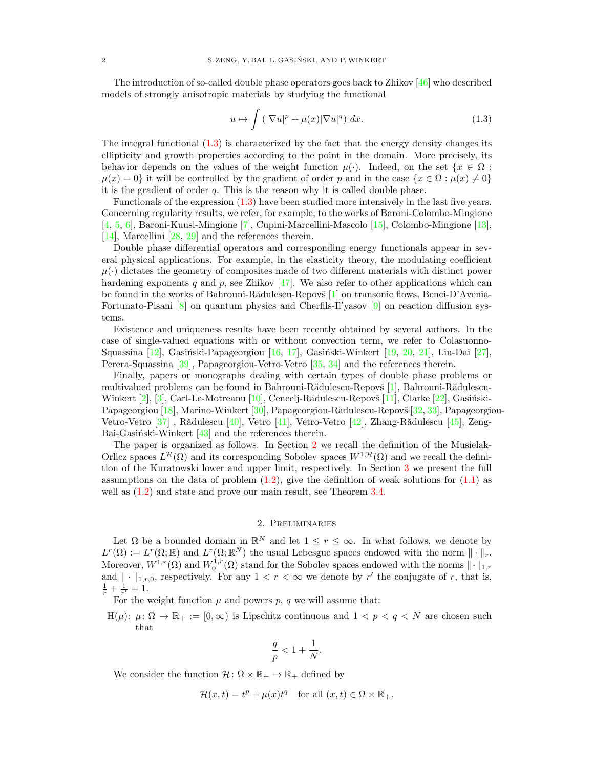The introduction of so-called double phase operators goes back to Zhikov [\[46\]](#page-12-1) who described models of strongly anisotropic materials by studying the functional

<span id="page-1-0"></span>
$$
u \mapsto \int \left( |\nabla u|^p + \mu(x) |\nabla u|^q \right) dx. \tag{1.3}
$$

The integral functional [\(1.3\)](#page-1-0) is characterized by the fact that the energy density changes its ellipticity and growth properties according to the point in the domain. More precisely, its behavior depends on the values of the weight function  $\mu(\cdot)$ . Indeed, on the set  $\{x \in \Omega :$  $\mu(x) = 0$  it will be controlled by the gradient of order p and in the case  $\{x \in \Omega : \mu(x) \neq 0\}$ it is the gradient of order q. This is the reason why it is called double phase.

Functionals of the expression [\(1.3\)](#page-1-0) have been studied more intensively in the last five years. Concerning regularity results, we refer, for example, to the works of Baroni-Colombo-Mingione [\[4,](#page-10-0) [5,](#page-10-1) [6\]](#page-10-2), Baroni-Kuusi-Mingione [\[7\]](#page-11-1), Cupini-Marcellini-Mascolo [\[15\]](#page-11-2), Colombo-Mingione [\[13\]](#page-11-3), [\[14\]](#page-11-4), Marcellini [\[28,](#page-11-5) [29\]](#page-11-6) and the references therein.

Double phase differential operators and corresponding energy functionals appear in several physical applications. For example, in the elasticity theory, the modulating coefficient  $\mu(\cdot)$  dictates the geometry of composites made of two different materials with distinct power hardening exponents q and p, see Zhikov  $[47]$ . We also refer to other applications which can be found in the works of Bahrouni-Rădulescu-Repovš [\[1\]](#page-10-3) on transonic flows, Benci-D'Avenia-Fortunato-Pisani  $[8]$  on quantum physics and Cherfils-Il'yasov  $[9]$  on reaction diffusion systems.

Existence and uniqueness results have been recently obtained by several authors. In the case of single-valued equations with or without convection term, we refer to Colasuonno-Squassina  $[12]$ , Gasiński-Papageorgiou  $[16, 17]$  $[16, 17]$  $[16, 17]$ , Gasiński-Winkert  $[19, 20, 21]$  $[19, 20, 21]$  $[19, 20, 21]$  $[19, 20, 21]$  $[19, 20, 21]$ , Liu-Dai  $[27]$ , Perera-Squassina [\[39\]](#page-12-3), Papageorgiou-Vetro-Vetro [\[35,](#page-11-16) [34\]](#page-11-17) and the references therein.

Finally, papers or monographs dealing with certain types of double phase problems or multivalued problems can be found in Bahrouni-Rădulescu-Repovš  $[1]$ , Bahrouni-Rădulescu-Winkert  $[2]$ ,  $[3]$ , Carl-Le-Motreanu  $[10]$ , Cencelj-Rădulescu-Repovš  $[11]$ , Clarke  $[22]$ , Gasiński-Papageorgiou [\[18\]](#page-11-21), Marino-Winkert [\[30\]](#page-11-22), Papageorgiou-Rădulescu-Repovš [\[32,](#page-11-23) [33\]](#page-11-24), Papageorgiou-Vetro-Vetro [\[37\]](#page-11-25), Rădulescu [\[40\]](#page-12-4), Vetro [\[41\]](#page-12-5), Vetro-Vetro [\[42\]](#page-12-6), Zhang-Rădulescu [\[45\]](#page-12-7), Zeng-Bai-Gasiński-Winkert  $[43]$  and the references therein.

The paper is organized as follows. In Section [2](#page-1-1) we recall the definition of the Musielak-Orlicz spaces  $L^{\mathcal{H}}(\Omega)$  and its corresponding Sobolev spaces  $W^{1,\mathcal{H}}(\Omega)$  and we recall the definition of the Kuratowski lower and upper limit, respectively. In Section [3](#page-3-0) we present the full assumptions on the data of problem  $(1.2)$ , give the definition of weak solutions for  $(1.1)$  as well as  $(1.2)$  and state and prove our main result, see Theorem [3.4.](#page-4-0)

## 2. Preliminaries

<span id="page-1-1"></span>Let  $\Omega$  be a bounded domain in  $\mathbb{R}^N$  and let  $1 \leq r \leq \infty$ . In what follows, we denote by  $L^r(\Omega) := L^r(\Omega;\mathbb{R})$  and  $L^r(\Omega;\mathbb{R}^N)$  the usual Lebesgue spaces endowed with the norm  $\|\cdot\|_r$ . Moreover,  $W^{1,r}(\Omega)$  and  $W_0^{1,r}(\Omega)$  stand for the Sobolev spaces endowed with the norms  $\|\cdot\|_{1,r}$ and  $\|\cdot\|_{1,r,0}$ , respectively. For any  $1 < r < \infty$  we denote by r' the conjugate of r, that is,  $\frac{1}{r} + \frac{1}{r'} = 1.$ 

For the weight function  $\mu$  and powers  $p$ ,  $q$  we will assume that:

H( $\mu$ ):  $\mu$ :  $\overline{\Omega} \to \mathbb{R}_+ := [0, \infty)$  is Lipschitz continuous and  $1 < p < q < N$  are chosen such that

$$
\frac{q}{p}<1+\frac{1}{N}.
$$

We consider the function  $\mathcal{H}: \Omega \times \mathbb{R}_+ \to \mathbb{R}_+$  defined by

$$
\mathcal{H}(x,t) = t^p + \mu(x)t^q \quad \text{for all } (x,t) \in \Omega \times \mathbb{R}_+.
$$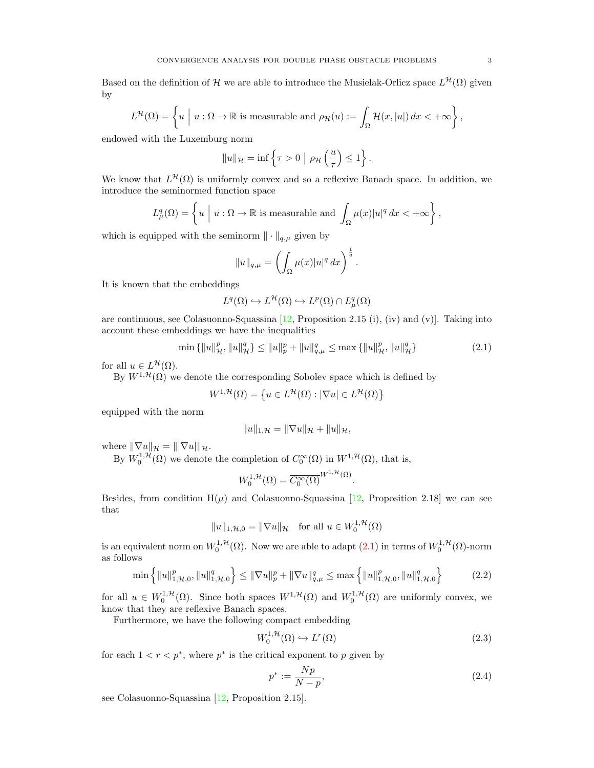Based on the definition of H we are able to introduce the Musielak-Orlicz space  $L^{\mathcal{H}}(\Omega)$  given by

$$
L^{\mathcal{H}}(\Omega) = \left\{ u \mid u : \Omega \to \mathbb{R} \text{ is measurable and } \rho_{\mathcal{H}}(u) := \int_{\Omega} \mathcal{H}(x, |u|) dx < +\infty \right\},\
$$

endowed with the Luxemburg norm

$$
||u||_{\mathcal{H}} = \inf \left\{ \tau > 0 \mid \rho_{\mathcal{H}} \left( \frac{u}{\tau} \right) \leq 1 \right\}.
$$

We know that  $L^{\mathcal{H}}(\Omega)$  is uniformly convex and so a reflexive Banach space. In addition, we introduce the seminormed function space

$$
L^q_\mu(\Omega) = \left\{ u \mid u : \Omega \to \mathbb{R} \text{ is measurable and } \int_{\Omega} \mu(x) |u|^q dx < +\infty \right\},\
$$

which is equipped with the seminorm  $\|\cdot\|_{q,\mu}$  given by

$$
||u||_{q,\mu} = \left(\int_{\Omega} \mu(x)|u|^q dx\right)^{\frac{1}{q}}
$$

It is known that the embeddings

$$
L^q(\Omega) \hookrightarrow L^{\mathcal{H}}(\Omega) \hookrightarrow L^p(\Omega) \cap L^q_{\mu}(\Omega)
$$

are continuous, see Colasuonno-Squassina  $[12,$  Proposition 2.15 (i), (iv) and (v)]. Taking into account these embeddings we have the inequalities

<span id="page-2-0"></span>
$$
\min\left\{\|u\|_{\mathcal{H}}^p, \|u\|_{\mathcal{H}}^q\right\} \le \|u\|_p^p + \|u\|_{q,\mu}^q \le \max\left\{\|u\|_{\mathcal{H}}^p, \|u\|_{\mathcal{H}}^q\right\} \tag{2.1}
$$

.

.

for all  $u \in L^{\mathcal{H}}(\Omega)$ .

By  $W^{1,\mathcal{H}}(\Omega)$  we denote the corresponding Sobolev space which is defined by

$$
W^{1,\mathcal{H}}(\Omega) = \left\{ u \in L^{\mathcal{H}}(\Omega) : |\nabla u| \in L^{\mathcal{H}}(\Omega) \right\}
$$

equipped with the norm

$$
||u||_{1,\mathcal{H}} = ||\nabla u||_{\mathcal{H}} + ||u||_{\mathcal{H}},
$$

where  $\|\nabla u\|_{\mathcal{H}} = \|\nabla u\|_{\mathcal{H}}.$ 

By  $W_0^{1,\mathcal{H}}(\Omega)$  we denote the completion of  $C_0^{\infty}(\Omega)$  in  $W^{1,\mathcal{H}}(\Omega)$ , that is,

$$
W_0^{1,\mathcal{H}}(\Omega) = \overline{C_0^{\infty}(\Omega)}^{W^{1,\mathcal{H}}(\Omega)}
$$

Besides, from condition  $H(\mu)$  and Colasuonno-Squassina [\[12,](#page-11-9) Proposition 2.18] we can see that

$$
||u||_{1,\mathcal{H},0} = ||\nabla u||_{\mathcal{H}} \quad \text{for all } u \in W_0^{1,\mathcal{H}}(\Omega)
$$

is an equivalent norm on  $W_0^{1,\mathcal{H}}(\Omega)$ . Now we are able to adapt  $(2.1)$  in terms of  $W_0^{1,\mathcal{H}}(\Omega)$ -norm as follows

<span id="page-2-2"></span>
$$
\min\left\{\|u\|_{1,\mathcal{H},0}^p, \|u\|_{1,\mathcal{H},0}^q\right\} \le \|\nabla u\|_p^p + \|\nabla u\|_{q,\mu}^q \le \max\left\{\|u\|_{1,\mathcal{H},0}^p, \|u\|_{1,\mathcal{H},0}^q\right\} \tag{2.2}
$$

for all  $u \in W_0^{1,\mathcal{H}}(\Omega)$ . Since both spaces  $W^{1,\mathcal{H}}(\Omega)$  and  $W_0^{1,\mathcal{H}}(\Omega)$  are uniformly convex, we know that they are reflexive Banach spaces.

Furthermore, we have the following compact embedding

<span id="page-2-3"></span>
$$
W_0^{1, \mathcal{H}}(\Omega) \hookrightarrow L^r(\Omega) \tag{2.3}
$$

for each  $1 < r < p^*$ , where  $p^*$  is the critical exponent to p given by

<span id="page-2-1"></span>
$$
p^* := \frac{Np}{N - p},\tag{2.4}
$$

see Colasuonno-Squassina [\[12,](#page-11-9) Proposition 2.15].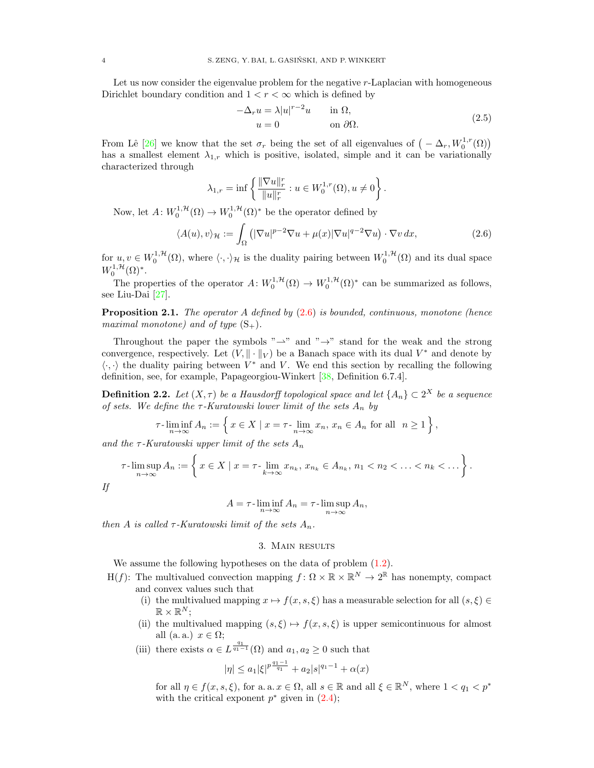Let us now consider the eigenvalue problem for the negative r-Laplacian with homogeneous Dirichlet boundary condition and  $1 < r < \infty$  which is defined by

<span id="page-3-3"></span>
$$
-\Delta_r u = \lambda |u|^{r-2}u \qquad \text{in } \Omega,
$$
  
 
$$
u = 0 \qquad \text{on } \partial\Omega.
$$
 (2.5)

From Lê [\[26\]](#page-11-26) we know that the set  $\sigma_r$  being the set of all eigenvalues of  $(-\Delta_r, W_0^{1,r}(\Omega))$ has a smallest element  $\lambda_{1,r}$  which is positive, isolated, simple and it can be variationally characterized through

$$
\lambda_{1,r} = \inf \left\{ \frac{\|\nabla u\|_r^r}{\|u\|_r^r} : u \in W_0^{1,r}(\Omega), u \neq 0 \right\}.
$$

Now, let  $A: W_0^{1,\mathcal{H}}(\Omega) \to W_0^{1,\mathcal{H}}(\Omega)^*$  be the operator defined by

<span id="page-3-2"></span>
$$
\langle A(u), v \rangle_{\mathcal{H}} := \int_{\Omega} \left( |\nabla u|^{p-2} \nabla u + \mu(x) |\nabla u|^{q-2} \nabla u \right) \cdot \nabla v \, dx,\tag{2.6}
$$

for  $u, v \in W_0^{1, H}(\Omega)$ , where  $\langle \cdot, \cdot \rangle_{\mathcal{H}}$  is the duality pairing between  $W_0^{1, H}(\Omega)$  and its dual space  $W_0^{1,\mathcal{H}}(\Omega)^*.$ 

The properties of the operator  $A: W_0^{1, H}(\Omega) \to W_0^{1, H}(\Omega)^*$  can be summarized as follows, see Liu-Dai [\[27\]](#page-11-15).

<span id="page-3-4"></span>**Proposition 2.1.** The operator A defined by  $(2.6)$  is bounded, continuous, monotone (hence maximal monotone) and of type  $(S_+)$ .

Throughout the paper the symbols " $\rightarrow$ " and " $\rightarrow$ " stand for the weak and the strong convergence, respectively. Let  $(V, \|\cdot\|_V)$  be a Banach space with its dual  $V^*$  and denote by  $\langle \cdot, \cdot \rangle$  the duality pairing between  $V^*$  and V. We end this section by recalling the following definition, see, for example, Papageorgiou-Winkert [\[38,](#page-11-27) Definition 6.7.4].

<span id="page-3-1"></span>**Definition 2.2.** Let  $(X, \tau)$  be a Hausdorff topological space and let  $\{A_n\} \subset 2^X$  be a sequence of sets. We define the  $\tau$ -Kuratowski lower limit of the sets  $A_n$  by

$$
\tau\text{-}\liminf_{n\to\infty} A_n := \left\{ x \in X \mid x = \tau\text{-}\lim_{n\to\infty} x_n, x_n \in A_n \text{ for all } n \ge 1 \right\},\
$$

and the  $\tau$ -Kuratowski upper limit of the sets  $A_n$ 

$$
\tau\text{-}\limsup_{n\to\infty} A_n := \left\{ x \in X \mid x = \tau\text{-}\lim_{k\to\infty} x_{n_k}, x_{n_k} \in A_{n_k}, n_1 < n_2 < \ldots < n_k < \ldots \right\}.
$$

$$
A = \tau \cdot \liminf_{n \to \infty} A_n = \tau \cdot \limsup_{n \to \infty} A_n,
$$

<span id="page-3-0"></span>then A is called  $\tau$ -Kuratowski limit of the sets  $A_n$ .

## 3. Main results

We assume the following hypotheses on the data of problem  $(1.2)$ .

- H(f): The multivalued convection mapping  $f: \Omega \times \mathbb{R} \times \mathbb{R}^N \to 2^{\mathbb{R}}$  has nonempty, compact and convex values such that
	- (i) the multivalued mapping  $x \mapsto f(x, s, \xi)$  has a measurable selection for all  $(s, \xi) \in$  $\mathbb{R} \times \mathbb{R}^N;$
	- (ii) the multivalued mapping  $(s, \xi) \mapsto f(x, s, \xi)$  is upper semicontinuous for almost all (a. a.)  $x \in \Omega$ ;
	- (iii) there exists  $\alpha \in L^{\frac{q_1}{q_1-1}}(\Omega)$  and  $a_1, a_2 \geq 0$  such that

$$
|\eta| \leq a_1 |\xi|^{p\frac{q_1-1}{q_1}} + a_2|s|^{q_1-1} + \alpha(x)
$$

for all  $\eta \in f(x, s, \xi)$ , for a. a.  $x \in \Omega$ , all  $s \in \mathbb{R}$  and all  $\xi \in \mathbb{R}^N$ , where  $1 < q_1 < p^*$ with the critical exponent  $p^*$  given in  $(2.4)$ ;

If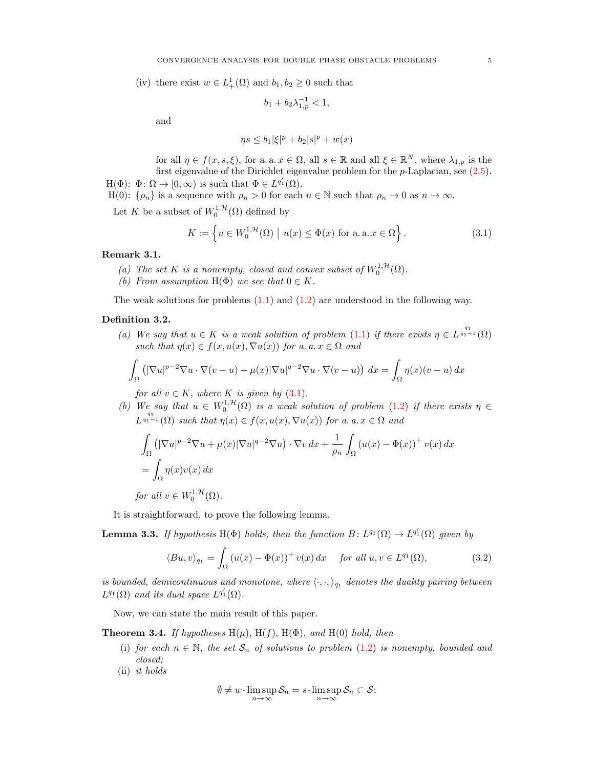(iv) there exist  $w \in L^1_+(\Omega)$  and  $b_1, b_2 \geq 0$  such that

$$
b_1 + b_2 \lambda_{1,p}^{-1} < 1,
$$

and

$$
\eta s \le b_1 |\xi|^p + b_2 |s|^p + w(x)
$$

for all  $\eta \in f(x, s, \xi)$ , for a. a.  $x \in \Omega$ , all  $s \in \mathbb{R}$  and all  $\xi \in \mathbb{R}^N$ , where  $\lambda_{1,p}$  is the first eigenvalue of the Dirichlet eigenvalue problem for the  $p$ -Laplacian, see  $(2.5)$ .  $H(\Phi)$ :  $\Phi \colon \Omega \to [0, \infty)$  is such that  $\Phi \in L^{q'_1}(\Omega)$ .

H(0):  $\{\rho_n\}$  is a sequence with  $\rho_n > 0$  for each  $n \in \mathbb{N}$  such that  $\rho_n \to 0$  as  $n \to \infty$ .

Let K be a subset of  $W_0^{1,\mathcal{H}}(\Omega)$  defined by

<span id="page-4-1"></span>
$$
K := \left\{ u \in W_0^{1, \mathcal{H}}(\Omega) \mid u(x) \le \Phi(x) \text{ for a. a. } x \in \Omega \right\}.
$$
 (3.1)

### Remark 3.1.

- (a) The set K is a nonempty, closed and convex subset of  $W_0^{1,\mathcal{H}}(\Omega)$ .
- (b) From assumption  $H(\Phi)$  we see that  $0 \in K$ .

The weak solutions for problems  $(1.1)$  and  $(1.2)$  are understood in the following way.

## <span id="page-4-2"></span>Definition 3.2.

(a) We say that  $u \in K$  is a weak solution of problem [\(1.1\)](#page-0-0) if there exists  $\eta \in L^{\frac{q_1}{q_1-1}}(\Omega)$ such that  $\eta(x) \in f(x, u(x), \nabla u(x))$  for a. a.  $x \in \Omega$  and

$$
\int_{\Omega} \left( |\nabla u|^{p-2} \nabla u \cdot \nabla (v - u) + \mu(x) |\nabla u|^{q-2} \nabla u \cdot \nabla (v - u) \right) dx = \int_{\Omega} \eta(x) (v - u) dx
$$

for all  $v \in K$ , where K is given by  $(3.1)$ .

(b) We say that  $u \in W_0^{1,1}(\Omega)$  is a weak solution of problem [\(1.2\)](#page-0-1) if there exists  $\eta \in$  $L^{\frac{q_1}{q_1-1}}(\Omega)$  such that  $\eta(x) \in f(x, u(x), \nabla u(x))$  for a. a.  $x \in \Omega$  and

$$
\int_{\Omega} \left( |\nabla u|^{p-2} \nabla u + \mu(x) |\nabla u|^{q-2} \nabla u \right) \cdot \nabla v \, dx + \frac{1}{\rho_n} \int_{\Omega} \left( u(x) - \Phi(x) \right)^+ v(x) \, dx
$$

$$
= \int_{\Omega} \eta(x) v(x) \, dx
$$
  
for all  $v \in W_0^{1, \mathcal{H}}(\Omega).$ 

It is straightforward, to prove the following lemma.

**Lemma 3.3.** If hypothesis H( $\Phi$ ) holds, then the function  $B: L^{q_1}(\Omega) \to L^{q'_1}(\Omega)$  given by

$$
\langle Bu, v \rangle_{q_1} = \int_{\Omega} \left( u(x) - \Phi(x) \right)^+ v(x) \, dx \quad \text{for all } u, v \in L^{q_1}(\Omega), \tag{3.2}
$$

is bounded, demicontinuous and monotone, where  $\langle \cdot, \cdot \rangle_{q_1}$  denotes the duality pairing between  $L^{q_1}(\Omega)$  and its dual space  $L^{q'_1}(\Omega)$ .

Now, we can state the main result of this paper.

<span id="page-4-0"></span>**Theorem 3.4.** If hypotheses  $H(\mu)$ ,  $H(f)$ ,  $H(\Phi)$ , and  $H(0)$  hold, then

- (i) for each  $n \in \mathbb{N}$ , the set  $S_n$  of solutions to problem [\(1.2\)](#page-0-1) is nonempty, bounded and closed;
- (ii) it holds

<span id="page-4-3"></span>
$$
\emptyset\neq w\text{-}\limsup_{n\to\infty}\mathcal{S}_n=s\text{-}\limsup_{n\to\infty}\mathcal{S}_n\subset\mathcal{S};
$$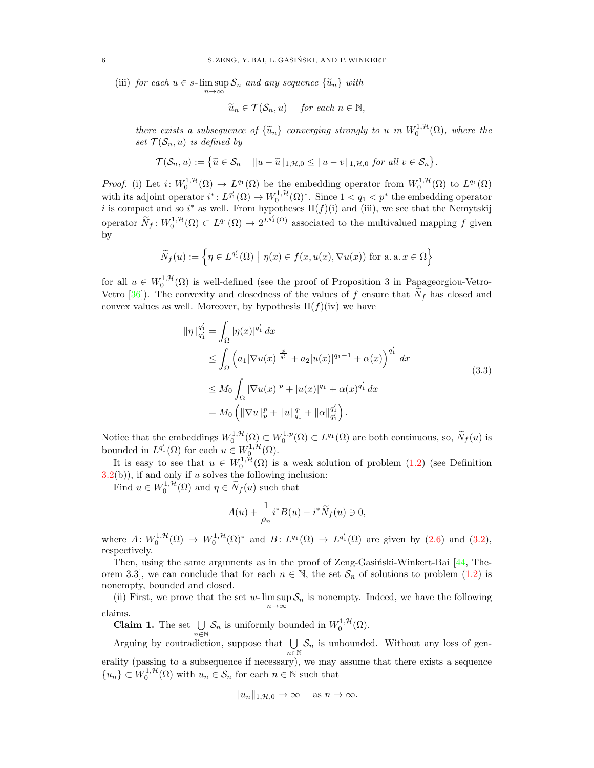(iii) for each  $u \in s$ -lim sup  $S_n$  and any sequence  $\{\widetilde{u}_n\}$  with

n→∞

$$
\widetilde{u}_n \in \mathcal{T}(\mathcal{S}_n, u) \quad \text{ for each } n \in \mathbb{N},
$$

there exists a subsequence of  $\{\widetilde{u}_n\}$  converging strongly to u in  $W_0^{1,\mathcal{H}}(\Omega)$ , where the set  $\mathcal{T}(\mathcal{S}_n, u)$  is defined by

$$
\mathcal{T}(\mathcal{S}_n, u) := \left\{ \widetilde{u} \in \mathcal{S}_n \mid ||u - \widetilde{u}||_{1, \mathcal{H}, 0} \le ||u - v||_{1, \mathcal{H}, 0} \text{ for all } v \in \mathcal{S}_n \right\}.
$$

*Proof.* (i) Let  $i: W_0^{1,\mathcal{H}}(\Omega) \to L^{q_1}(\Omega)$  be the embedding operator from  $W_0^{1,\mathcal{H}}(\Omega)$  to  $L^{q_1}(\Omega)$ with its adjoint operator  $i^*: L^{q'_1}(\Omega) \to W_0^{1,\mathcal{H}}(\Omega)^*$ . Since  $1 < q_1 < p^*$  the embedding operator i is compact and so i<sup>\*</sup> as well. From hypotheses  $H(f)(i)$  and (iii), we see that the Nemytskij operator  $\widetilde{N}_f: W_0^{1,\mathcal{H}}(\Omega) \subset L^{q_1}(\Omega) \to 2^{L^{q'_1}(\Omega)}$  associated to the multivalued mapping f given by

$$
\widetilde{N}_f(u) := \left\{ \eta \in L^{q'_1}(\Omega) \mid \eta(x) \in f(x, u(x), \nabla u(x)) \text{ for a. a. } x \in \Omega \right\}
$$

for all  $u \in W_0^{1,\mathcal{H}}(\Omega)$  is well-defined (see the proof of Proposition 3 in Papageorgiou-Vetro-Vetro [\[36\]](#page-11-28)). The convexity and closedness of the values of f ensure that  $N_f$  has closed and convex values as well. Moreover, by hypothesis  $H(f)(iv)$  we have

$$
\|\eta\|_{q_1'}^{q_1'} = \int_{\Omega} |\eta(x)|^{q_1'} dx
$$
  
\n
$$
\leq \int_{\Omega} \left( a_1 |\nabla u(x)|^{\frac{p}{q_1'}} + a_2 |u(x)|^{q_1 - 1} + \alpha(x) \right)^{q_1'} dx
$$
  
\n
$$
\leq M_0 \int_{\Omega} |\nabla u(x)|^p + |u(x)|^{q_1} + \alpha(x)^{q_1'} dx
$$
  
\n
$$
= M_0 \left( \|\nabla u\|_p^p + \|u\|_{q_1}^{q_1} + \|\alpha\|_{q_1'}^{q_1'} \right).
$$
\n(3.3)

Notice that the embeddings  $W_0^{1,\mathcal{H}}(\Omega) \subset W_0^{1,p}(\Omega) \subset L^{q_1}(\Omega)$  are both continuous, so,  $\widetilde{N}_f(u)$  is bounded in  $L^{q'_1}(\Omega)$  for each  $u \in W_0^{1, \mathcal{H}}(\Omega)$ .

It is easy to see that  $u \in W_0^{1,\mathcal{H}}(\Omega)$  is a weak solution of problem [\(1.2\)](#page-0-1) (see Definition  $3.2(b)$  $3.2(b)$ , if and only if u solves the following inclusion:

Find  $u \in W_0^{1,\mathcal{H}}(\Omega)$  and  $\eta \in \widetilde{N}_f(u)$  such that

<span id="page-5-0"></span>
$$
A(u) + \frac{1}{\rho_n} i^* B(u) - i^* \widetilde{N}_f(u) \ni 0,
$$

where  $A: W_0^{1, H}(\Omega) \to W_0^{1, H}(\Omega)^*$  and  $B: L^{q_1}(\Omega) \to L^{q'_1}(\Omega)$  are given by  $(2.6)$  and  $(3.2)$ , respectively.

Then, using the same arguments as in the proof of Zeng-Gasiński-Winkert-Bai  $[44,$  Theorem 3.3], we can conclude that for each  $n \in \mathbb{N}$ , the set  $\mathcal{S}_n$  of solutions to problem [\(1.2\)](#page-0-1) is nonempty, bounded and closed.

(ii) First, we prove that the set w-lim sup  $S_n$  is nonempty. Indeed, we have the following n→∞ claims.

**Claim 1.** The set  $\bigcup \mathcal{S}_n$  is uniformly bounded in  $W_0^{1, \mathcal{H}}(\Omega)$ .  $n \breve{\in} \mathbb{N}$ 

Arguing by contradiction, suppose that  $\bigcup$  $\bigcup_{n\in\mathbb{N}}\mathcal{S}_n$  is unbounded. Without any loss of generality (passing to a subsequence if necessary), we may assume that there exists a sequence  ${u_n\} \subset W_0^{1,\mathcal{H}}(\Omega)$  with  $u_n \in \mathcal{S}_n$  for each  $n \in \mathbb{N}$  such that

$$
||u_n||_{1,\mathcal{H},0} \to \infty \quad \text{as } n \to \infty.
$$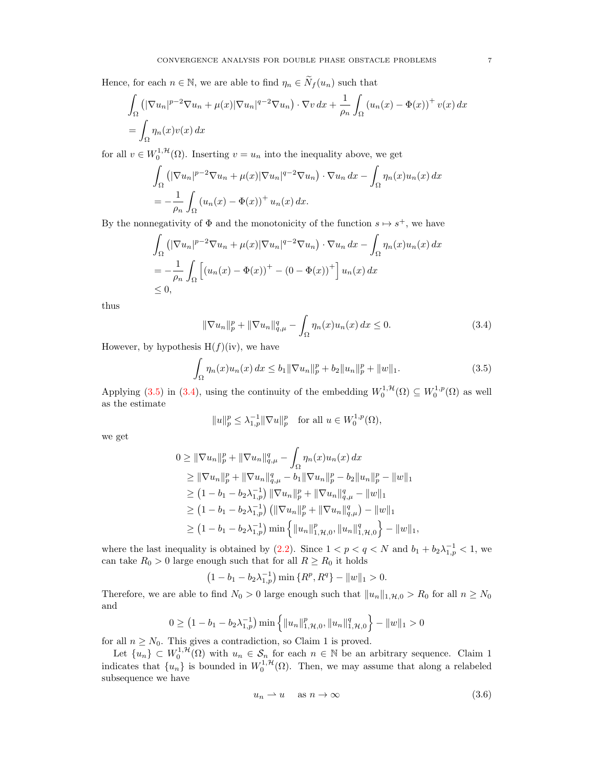Hence, for each  $n\in\mathbb{N},$  we are able to find  $\eta_n\in \widetilde{N}_f(u_n)$  such that

$$
\int_{\Omega} \left( |\nabla u_n|^{p-2} \nabla u_n + \mu(x) |\nabla u_n|^{q-2} \nabla u_n \right) \cdot \nabla v \, dx + \frac{1}{\rho_n} \int_{\Omega} \left( u_n(x) - \Phi(x) \right)^+ v(x) \, dx
$$
\n
$$
= \int_{\Omega} \eta_n(x) v(x) \, dx
$$

for all  $v \in W_0^{1,\mathcal{H}}(\Omega)$ . Inserting  $v = u_n$  into the inequality above, we get

$$
\int_{\Omega} \left( |\nabla u_n|^{p-2} \nabla u_n + \mu(x) |\nabla u_n|^{q-2} \nabla u_n \right) \cdot \nabla u_n \, dx - \int_{\Omega} \eta_n(x) u_n(x) \, dx
$$

$$
= -\frac{1}{\rho_n} \int_{\Omega} \left( u_n(x) - \Phi(x) \right)^+ u_n(x) \, dx.
$$

By the nonnegativity of  $\Phi$  and the monotonicity of the function  $s \mapsto s^+$ , we have

$$
\int_{\Omega} \left( |\nabla u_n|^{p-2} \nabla u_n + \mu(x) |\nabla u_n|^{q-2} \nabla u_n \right) \cdot \nabla u_n \, dx - \int_{\Omega} \eta_n(x) u_n(x) \, dx
$$
\n
$$
= -\frac{1}{\rho_n} \int_{\Omega} \left[ (u_n(x) - \Phi(x))^+ - (0 - \Phi(x))^+ \right] u_n(x) \, dx
$$
\n
$$
\leq 0,
$$

thus

<span id="page-6-1"></span>
$$
\|\nabla u_n\|_p^p + \|\nabla u_n\|_{q,\mu}^q - \int_{\Omega} \eta_n(x) u_n(x) \, dx \le 0. \tag{3.4}
$$

However, by hypothesis  $H(f)(iv)$ , we have

$$
\int_{\Omega} \eta_n(x) u_n(x) dx \le b_1 \|\nabla u_n\|_p^p + b_2 \|u_n\|_p^p + \|w\|_1.
$$
\n(3.5)

Applying [\(3.5\)](#page-6-0) in [\(3.4\)](#page-6-1), using the continuity of the embedding  $W_0^{1,\mathcal{H}}(\Omega) \subseteq W_0^{1,p}(\Omega)$  as well as the estimate

<span id="page-6-0"></span>
$$
||u||_p^p \leq \lambda_{1,p}^{-1} ||\nabla u||_p^p \quad \text{for all } u \in W_0^{1,p}(\Omega),
$$

we get

$$
0 \geq \|\nabla u_n\|_p^p + \|\nabla u_n\|_{q,\mu}^q - \int_{\Omega} \eta_n(x)u_n(x) dx
$$
  
\n
$$
\geq \|\nabla u_n\|_p^p + \|\nabla u_n\|_{q,\mu}^q - b_1 \|\nabla u_n\|_p^p - b_2 \|u_n\|_p^p - \|w\|_1
$$
  
\n
$$
\geq (1 - b_1 - b_2 \lambda_{1,p}^{-1}) \|\nabla u_n\|_p^p + \|\nabla u_n\|_{q,\mu}^q - \|w\|_1
$$
  
\n
$$
\geq (1 - b_1 - b_2 \lambda_{1,p}^{-1}) \left( \|\nabla u_n\|_p^p + \|\nabla u_n\|_{q,\mu}^q \right) - \|w\|_1
$$
  
\n
$$
\geq (1 - b_1 - b_2 \lambda_{1,p}^{-1}) \min \left\{ \|u_n\|_{1,\mathcal{H},0}^p, \|u_n\|_{1,\mathcal{H},0}^q \right\} - \|w\|_1,
$$

where the last inequality is obtained by  $(2.2)$ . Since  $1 < p < q < N$  and  $b_1 + b_2 \lambda_{1,p}^{-1} < 1$ , we can take  $R_0 > 0$  large enough such that for all  $R \geq R_0$  it holds

$$
(1 - b_1 - b_2 \lambda_{1,p}^{-1}) \min \{ R^p, R^q \} - ||w||_1 > 0.
$$

Therefore, we are able to find  $N_0 > 0$  large enough such that  $||u_n||_{1,\mathcal{H},0} > R_0$  for all  $n \geq N_0$ and

$$
0 \ge (1 - b_1 - b_2 \lambda_{1,p}^{-1}) \min \left\{ ||u_n||_{1,\mathcal{H},0}^p, ||u_n||_{1,\mathcal{H},0}^q \right\} - ||w||_1 > 0
$$

for all  $n \geq N_0$ . This gives a contradiction, so Claim 1 is proved.

Let  $\{u_n\} \subset W_0^{1,\mathcal{H}}(\Omega)$  with  $u_n \in \mathcal{S}_n$  for each  $n \in \mathbb{N}$  be an arbitrary sequence. Claim 1 indicates that  $\{u_n\}$  is bounded in  $W_0^{1, H}(\Omega)$ . Then, we may assume that along a relabeled subsequence we have

<span id="page-6-2"></span>
$$
u_n \rightharpoonup u \quad \text{as } n \to \infty \tag{3.6}
$$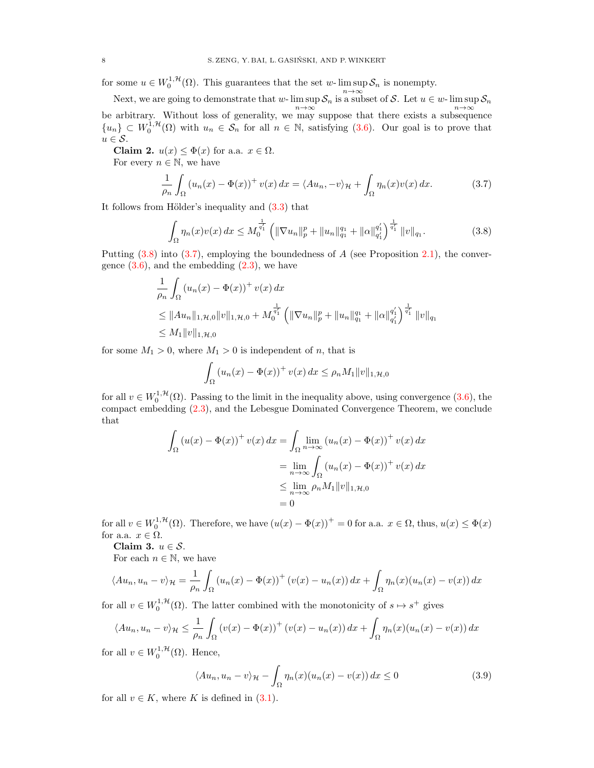for some  $u \in W_0^{1,\mathcal{H}}(\Omega)$ . This guarantees that the set w-lim sup  $\mathcal{S}_n$  is nonempty.

Next, we are going to demonstrate that w- lim sup  $S_n$  is a subset of S. Let  $u \in w$ - lim sup  $S_n$ be arbitrary. Without loss of generality, we may suppose that there exists a subsequence  ${u_n} \subset W_0^{1,\mathcal{H}}(\Omega)$  with  $u_n \in \mathcal{S}_n$  for all  $n \in \mathbb{N}$ , satisfying [\(3.6\)](#page-6-2). Our goal is to prove that  $u \in \mathcal{S}$ .

Claim 2.  $u(x) \leq \Phi(x)$  for a.a.  $x \in \Omega$ .

For every  $n \in \mathbb{N}$ , we have

$$
\frac{1}{\rho_n} \int_{\Omega} \left( u_n(x) - \Phi(x) \right)^+ v(x) \, dx = \langle A u_n, -v \rangle_{\mathcal{H}} + \int_{\Omega} \eta_n(x) v(x) \, dx. \tag{3.7}
$$

It follows from Hölder's inequality and  $(3.3)$  that

<span id="page-7-1"></span><span id="page-7-0"></span>
$$
\int_{\Omega} \eta_n(x)v(x) dx \le M_0^{\frac{1}{q'_1}} \left( \|\nabla u_n\|_p^p + \|u_n\|_{q_1}^{q_1} + \|\alpha\|_{q'_1}^{q'_1} \right)^{\frac{1}{q'_1}} \|v\|_{q_1}.
$$
 (3.8)

Putting  $(3.8)$  into  $(3.7)$ , employing the boundedness of A (see Proposition [2.1\)](#page-3-4), the convergence  $(3.6)$ , and the embedding  $(2.3)$ , we have

$$
\frac{1}{\rho_n} \int_{\Omega} (u_n(x) - \Phi(x))^+ v(x) dx
$$
\n
$$
\leq \|Au_n\|_{1, \mathcal{H}, 0} \|v\|_{1, \mathcal{H}, 0} + M_0^{\frac{1}{q'_1}} \left( \|\nabla u_n\|_p^p + \|u_n\|_{q_1}^{q_1} + \|\alpha\|_{q'_1}^{q'_1} \right)^{\frac{1}{q'_1}} \|v\|_{q_1}
$$
\n
$$
\leq M_1 \|v\|_{1, \mathcal{H}, 0}
$$

for some  $M_1 > 0$ , where  $M_1 > 0$  is independent of n, that is

$$
\int_{\Omega} (u_n(x) - \Phi(x))^+ v(x) dx \le \rho_n M_1 ||v||_{1, \mathcal{H}, 0}
$$

for all  $v \in W_0^{1, H}(\Omega)$ . Passing to the limit in the inequality above, using convergence  $(3.6)$ , the compact embedding [\(2.3\)](#page-2-3), and the Lebesgue Dominated Convergence Theorem, we conclude that

$$
\int_{\Omega} (u(x) - \Phi(x))^{+} v(x) dx = \int_{\Omega} \lim_{n \to \infty} (u_{n}(x) - \Phi(x))^{+} v(x) dx
$$

$$
= \lim_{n \to \infty} \int_{\Omega} (u_{n}(x) - \Phi(x))^{+} v(x) dx
$$

$$
\leq \lim_{n \to \infty} \rho_{n} M_{1} ||v||_{1, \mathcal{H}, 0}
$$

$$
= 0
$$

for all  $v \in W_0^{1,\mathcal{H}}(\Omega)$ . Therefore, we have  $(u(x) - \Phi(x))^{+} = 0$  for a.a.  $x \in \Omega$ , thus,  $u(x) \leq \Phi(x)$ for a.a.  $x \in \Omega$ .

Claim 3.  $u \in \mathcal{S}$ .

For each  $n \in \mathbb{N}$ , we have

$$
\langle Au_n, u_n - v \rangle_{\mathcal{H}} = \frac{1}{\rho_n} \int_{\Omega} \left( u_n(x) - \Phi(x) \right)^+ \left( v(x) - u_n(x) \right) dx + \int_{\Omega} \eta_n(x) (u_n(x) - v(x)) dx
$$

for all  $v \in W_0^{1,\mathcal{H}}(\Omega)$ . The latter combined with the monotonicity of  $s \mapsto s^+$  gives

$$
\langle Au_n, u_n - v \rangle_{\mathcal{H}} \leq \frac{1}{\rho_n} \int_{\Omega} \left( v(x) - \Phi(x) \right)^+ \left( v(x) - u_n(x) \right) dx + \int_{\Omega} \eta_n(x) (u_n(x) - v(x)) dx
$$

for all  $v \in W_0^{1, \mathcal{H}}(\Omega)$ . Hence,

<span id="page-7-2"></span>
$$
\langle Au_n, u_n - v \rangle_{\mathcal{H}} - \int_{\Omega} \eta_n(x) (u_n(x) - v(x)) \, dx \le 0 \tag{3.9}
$$

for all  $v \in K$ , where K is defined in [\(3.1\)](#page-4-1).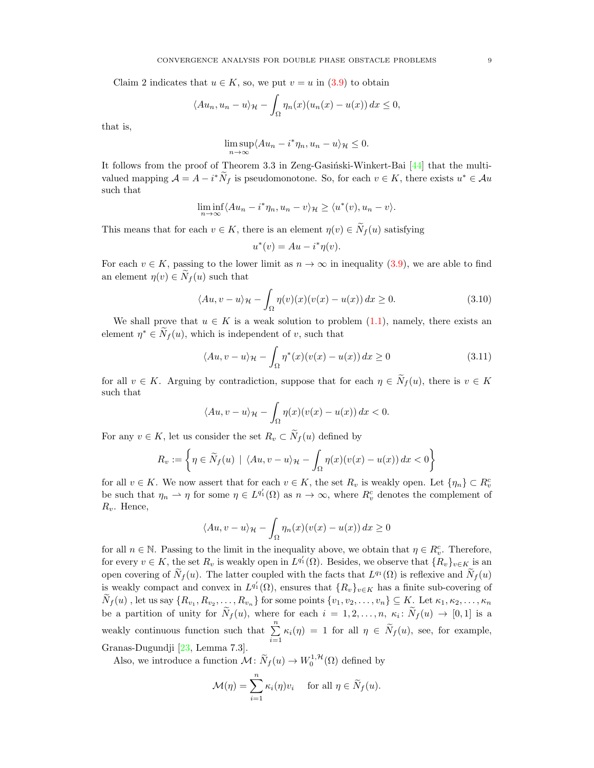Claim 2 indicates that  $u \in K$ , so, we put  $v = u$  in [\(3.9\)](#page-7-2) to obtain

$$
\langle Au_n, u_n - u \rangle_{\mathcal{H}} - \int_{\Omega} \eta_n(x) (u_n(x) - u(x)) \, dx \le 0,
$$

that is,

$$
\limsup_{n \to \infty} \langle Au_n - i^* \eta_n, u_n - u \rangle_{\mathcal{H}} \le 0.
$$

It follows from the proof of Theorem 3.3 in Zeng-Gasiński-Winkert-Bai  $[44]$  that the multivalued mapping  $\mathcal{A} = A - i^* \widetilde{N}_f$  is pseudomonotone. So, for each  $v \in K$ , there exists  $u^* \in \mathcal{A}u$ such that

$$
\liminf_{n \to \infty} \langle Au_n - i^* \eta_n, u_n - v \rangle_{\mathcal{H}} \ge \langle u^*(v), u_n - v \rangle.
$$

This means that for each  $v \in K$ , there is an element  $\eta(v) \in \widetilde{N}_f(u)$  satisfying

<span id="page-8-1"></span><span id="page-8-0"></span>
$$
u^*(v) = Au - i^*\eta(v).
$$

For each  $v \in K$ , passing to the lower limit as  $n \to \infty$  in inequality [\(3.9\)](#page-7-2), we are able to find an element  $\eta(v) \in N_f(u)$  such that

$$
\langle Au, v - u \rangle_{\mathcal{H}} - \int_{\Omega} \eta(v)(x)(v(x) - u(x)) dx \ge 0.
$$
 (3.10)

We shall prove that  $u \in K$  is a weak solution to problem [\(1.1\)](#page-0-0), namely, there exists an element  $\eta^* \in \tilde{N}_f(u)$ , which is independent of v, such that

$$
\langle Au, v - u \rangle_{\mathcal{H}} - \int_{\Omega} \eta^*(x) (v(x) - u(x)) dx \ge 0 \tag{3.11}
$$

for all  $v \in K$ . Arguing by contradiction, suppose that for each  $\eta \in \widetilde{N}_f(u)$ , there is  $v \in K$ such that

$$
\langle Au, v - u \rangle_{\mathcal{H}} - \int_{\Omega} \eta(x) (v(x) - u(x)) \, dx < 0.
$$

For any  $v \in K$ , let us consider the set  $R_v \subset \widetilde{N}_f(u)$  defined by

$$
R_v := \left\{ \eta \in \widetilde{N}_f(u) \mid \langle Au, v - u \rangle_{\mathcal{H}} - \int_{\Omega} \eta(x) (v(x) - u(x)) \, dx < 0 \right\}
$$

for all  $v \in K$ . We now assert that for each  $v \in K$ , the set  $R_v$  is weakly open. Let  $\{\eta_n\} \subset R_v^c$ be such that  $\eta_n \rightharpoonup \eta$  for some  $\eta \in L^{q'_1}(\Omega)$  as  $n \to \infty$ , where  $R_v^c$  denotes the complement of  $R_v$ . Hence,

$$
\langle Au, v - u \rangle_{\mathcal{H}} - \int_{\Omega} \eta_n(x) (v(x) - u(x)) dx \ge 0
$$

for all  $n \in \mathbb{N}$ . Passing to the limit in the inequality above, we obtain that  $\eta \in R_v^c$ . Therefore, for every  $v \in K$ , the set  $R_v$  is weakly open in  $L^{q'_1}(\Omega)$ . Besides, we observe that  $\{R_v\}_{v \in K}$  is an open covering of  $\tilde{N}_f(u)$ . The latter coupled with the facts that  $L^{q_1}(\Omega)$  is reflexive and  $\tilde{N}_f(u)$ is weakly compact and convex in  $L^{q'_1}(\Omega)$ , ensures that  $\{R_v\}_{v\in K}$  has a finite sub-covering of  $N_f(u)$ , let us say  $\{R_{v_1}, R_{v_2}, \ldots, R_{v_n}\}$  for some points  $\{v_1, v_2, \ldots, v_n\} \subseteq K$ . Let  $\kappa_1, \kappa_2, \ldots, \kappa_n$ be a partition of unity for  $N_f(u)$ , where for each  $i = 1, 2, ..., n$ ,  $\kappa_i \colon N_f(u) \to [0, 1]$  is a weakly continuous function such that  $\sum_{n=1}^{\infty}$  $\sum_{i=1} \kappa_i(\eta) = 1$  for all  $\eta \in N_f(u)$ , see, for example, Granas-Dugundji [\[23,](#page-11-29) Lemma 7.3].

Also, we introduce a function  $\mathcal{M} \colon \widetilde{N}_f(u) \to W_0^{1, \mathcal{H}}(\Omega)$  defined by

$$
\mathcal{M}(\eta) = \sum_{i=1}^n \kappa_i(\eta) v_i \quad \text{ for all } \eta \in \widetilde{N}_f(u).
$$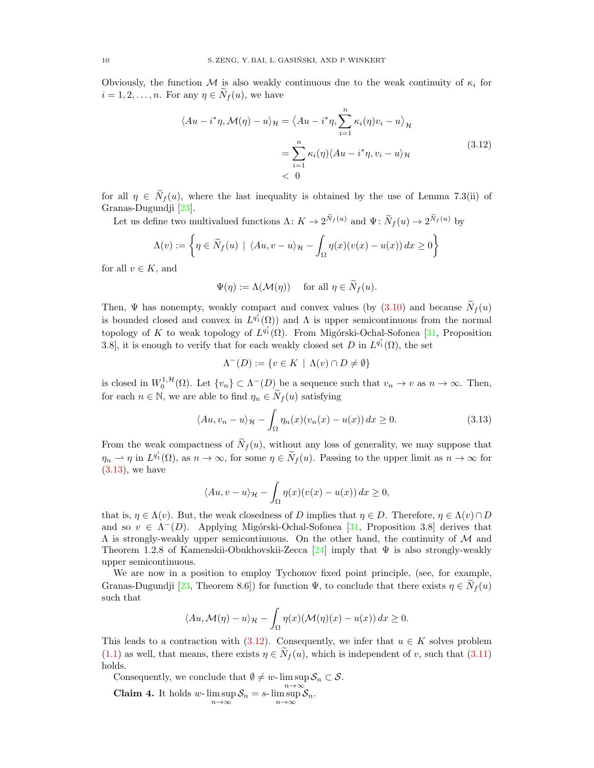Obviously, the function M is also weakly continuous due to the weak continuity of  $\kappa_i$  for  $i = 1, 2, \ldots, n$ . For any  $\eta \in N_f(u)$ , we have

<span id="page-9-1"></span>
$$
\langle Au - i^* \eta, \mathcal{M}(\eta) - u \rangle_{\mathcal{H}} = \langle Au - i^* \eta, \sum_{i=1}^n \kappa_i(\eta) v_i - u \rangle_{\mathcal{H}}
$$
  
= 
$$
\sum_{i=1}^n \kappa_i(\eta) \langle Au - i^* \eta, v_i - u \rangle_{\mathcal{H}}
$$
  
< 0 (3.12)

for all  $\eta \in \tilde{N}_f(u)$ , where the last inequality is obtained by the use of Lemma 7.3(ii) of Granas-Dugundji [\[23\]](#page-11-29).

Let us define two multivalued functions  $\Lambda: K \to 2^{N_f(u)}$  and  $\Psi: \tilde{N}_f(u) \to 2^{N_f(u)}$  by

$$
\Lambda(v) := \left\{ \eta \in \widetilde{N}_f(u) \mid \langle Au, v - u \rangle_{\mathcal{H}} - \int_{\Omega} \eta(x) (v(x) - u(x)) \, dx \ge 0 \right\}
$$

for all  $v \in K$ , and

$$
\Psi(\eta) := \Lambda(\mathcal{M}(\eta)) \quad \text{ for all } \eta \in \widetilde{N}_f(u).
$$

Then,  $\Psi$  has nonempty, weakly compact and convex values (by  $(3.10)$ ) and because  $N_f(u)$ is bounded closed and convex in  $L^{q'_1}(\Omega)$  and  $\Lambda$  is upper semicontinuous from the normal topology of K to weak topology of  $L^{q'_1}(\Omega)$ . From Migórski-Ochal-Sofonea [\[31,](#page-11-30) Proposition 3.8, it is enough to verify that for each weakly closed set D in  $L^{q'_1}(\Omega)$ , the set

<span id="page-9-0"></span>
$$
\Lambda^-(D) := \{ v \in K \mid \Lambda(v) \cap D \neq \emptyset \}
$$

is closed in  $W_0^{1,\mathcal{H}}(\Omega)$ . Let  $\{v_n\} \subset \Lambda^-(D)$  be a sequence such that  $v_n \to v$  as  $n \to \infty$ . Then, for each  $n \in \mathbb{N}$ , we are able to find  $\eta_n \in \widetilde{N}_f(u)$  satisfying

$$
\langle Au, v_n - u \rangle_{\mathcal{H}} - \int_{\Omega} \eta_n(x) (v_n(x) - u(x)) \, dx \ge 0. \tag{3.13}
$$

From the weak compactness of  $\tilde{N}_f(u)$ , without any loss of generality, we may suppose that  $\eta_n \to \eta$  in  $L^{q'_1}(\Omega)$ , as  $n \to \infty$ , for some  $\eta \in \widetilde{N}_f(u)$ . Passing to the upper limit as  $n \to \infty$  for  $(3.13)$ , we have

$$
\langle Au, v - u \rangle_{\mathcal{H}} - \int_{\Omega} \eta(x) (v(x) - u(x)) \, dx \ge 0,
$$

that is,  $\eta \in \Lambda(v)$ . But, the weak closedness of D implies that  $\eta \in D$ . Therefore,  $\eta \in \Lambda(v) \cap D$ and so  $v \in \Lambda^-(D)$ . Applying Migórski-Ochal-Sofonea [\[31,](#page-11-30) Proposition 3.8] derives that  $\Lambda$  is strongly-weakly upper semicontinuous. On the other hand, the continuity of  $\mathcal M$  and Theorem 1.2.8 of Kamenskii-Obukhovskii-Zecca [\[24\]](#page-11-31) imply that  $\Psi$  is also strongly-weakly upper semicontinuous.

We are now in a position to employ Tychonov fixed point principle, (see, for example, Granas-Dugundji [\[23,](#page-11-29) Theorem 8.6]) for function  $\Psi$ , to conclude that there exists  $\eta \in \tilde{N}_f(u)$ such that

$$
\langle Au, \mathcal{M}(\eta) - u \rangle_{\mathcal{H}} - \int_{\Omega} \eta(x) (\mathcal{M}(\eta)(x) - u(x)) dx \ge 0.
$$

This leads to a contraction with [\(3.12\)](#page-9-1). Consequently, we infer that  $u \in K$  solves problem [\(1.1\)](#page-0-0) as well, that means, there exists  $\eta \in N_f(u)$ , which is independent of v, such that [\(3.11\)](#page-8-1) holds.

Consequently, we conclude that  $\emptyset \neq w$ - lim sup  $\mathcal{S}_n \subset \mathcal{S}$ .

**Claim 4.** It holds w- $\limsup_{n\to\infty} S_n = s$ - $\limsup_{n\to\infty} S_n$ .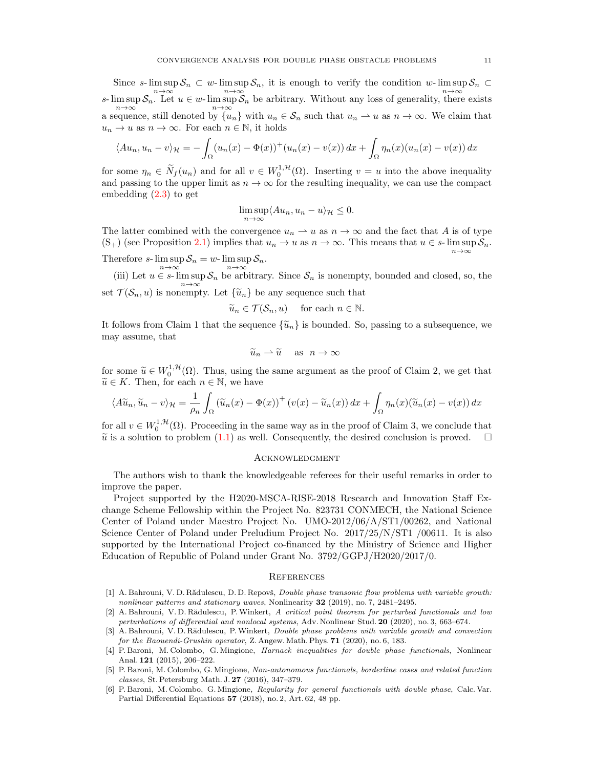Since s- $\limsup S_n \subset w$ - $\limsup S_n$ , it is enough to verify the condition w- $\limsup S_n \subset$ s- $\limsup_{n\to\infty} S_n$ . Let  $u \in w$ - $\limsup_{n\to\infty} S_n$  be arbitrary. Without any loss of generality, there exists a sequence, still denoted by  $\{u_n\}$  with  $u_n \in \mathcal{S}_n$  such that  $u_n \rightharpoonup u$  as  $n \to \infty$ . We claim that  $u_n \to u$  as  $n \to \infty$ . For each  $n \in \mathbb{N}$ , it holds

$$
\langle Au_n, u_n - v \rangle_{\mathcal{H}} = -\int_{\Omega} (u_n(x) - \Phi(x))^+(u_n(x) - v(x)) dx + \int_{\Omega} \eta_n(x) (u_n(x) - v(x)) dx
$$

for some  $\eta_n \in \widetilde{N}_f(u_n)$  and for all  $v \in W_0^{1,\mathcal{H}}(\Omega)$ . Inserting  $v = u$  into the above inequality and passing to the upper limit as  $n \to \infty$  for the resulting inequality, we can use the compact embedding [\(2.3\)](#page-2-3) to get

$$
\limsup_{n \to \infty} \langle Au_n, u_n - u \rangle_{\mathcal{H}} \le 0.
$$

The latter combined with the convergence  $u_n \to u$  as  $n \to \infty$  and the fact that A is of type  $(S_+)$  (see Proposition [2.1\)](#page-3-4) implies that  $u_n \to u$  as  $n \to \infty$ . This means that  $u \in s$ - lim sup  $S_n$ . Therefore s-  $\limsup_{n \to \infty} S_n = w$ -  $\limsup_{n \to \infty} S_n$ .

(iii) Let  $u \in s$ -  $\limsup_{n \to \infty} S_n$  be arbitrary. Since  $S_n$  is nonempty, bounded and closed, so, the

set  $\mathcal{T}(\mathcal{S}_n, u)$  is nonempty. Let  $\{\widetilde{u}_n\}$  be any sequence such that

$$
\widetilde{u}_n \in \mathcal{T}(\mathcal{S}_n, u)
$$
 for each  $n \in \mathbb{N}$ .

It follows from Claim 1 that the sequence  $\{\tilde{u}_n\}$  is bounded. So, passing to a subsequence, we may assume, that

$$
\widetilde{u}_n \rightharpoonup \widetilde{u} \quad \text{ as } n \to \infty
$$

for some  $\widetilde{u} \in W_0^{1,\mathcal{H}}(\Omega)$ . Thus, using the same argument as the proof of Claim 2, we get that  $\widetilde{u} \in K$ . Then, for each  $n \in \mathbb{N}$ , we have  $\widetilde{u} \in K$ . Then, for each  $n \in \mathbb{N}$ , we have

$$
\langle A\widetilde{u}_n, \widetilde{u}_n - v \rangle_{\mathcal{H}} = \frac{1}{\rho_n} \int_{\Omega} \left( \widetilde{u}_n(x) - \Phi(x) \right)^+ \left( v(x) - \widetilde{u}_n(x) \right) dx + \int_{\Omega} \eta_n(x) \left( \widetilde{u}_n(x) - v(x) \right) dx
$$

for all  $v \in W_0^{1,\mathcal{H}}(\Omega)$ . Proceeding in the same way as in the proof of Claim 3, we conclude that  $\tilde{u}$  is a solution to problem [\(1.1\)](#page-0-0) as well. Consequently, the desired conclusion is proved.  $\square$ 

#### Acknowledgment

The authors wish to thank the knowledgeable referees for their useful remarks in order to improve the paper.

Project supported by the H2020-MSCA-RISE-2018 Research and Innovation Staff Exchange Scheme Fellowship within the Project No. 823731 CONMECH, the National Science Center of Poland under Maestro Project No. UMO-2012/06/A/ST1/00262, and National Science Center of Poland under Preludium Project No. 2017/25/N/ST1 /00611. It is also supported by the International Project co-financed by the Ministry of Science and Higher Education of Republic of Poland under Grant No. 3792/GGPJ/H2020/2017/0.

### **REFERENCES**

- <span id="page-10-3"></span>[1] A. Bahrouni, V. D. Rădulescu, D. D. Repovš, *Double phase transonic flow problems with variable growth:* nonlinear patterns and stationary waves, Nonlinearity 32 (2019), no. 7, 2481–2495.
- <span id="page-10-4"></span>[2] A. Bahrouni, V. D. Rădulescu, P. Winkert, A critical point theorem for perturbed functionals and low perturbations of differential and nonlocal systems, Adv. Nonlinear Stud. 20 (2020), no. 3, 663–674.
- <span id="page-10-5"></span>[3] A. Bahrouni, V. D. Rădulescu, P. Winkert, *Double phase problems with variable growth and convection* for the Baouendi-Grushin operator, Z. Angew. Math. Phys. 71 (2020), no. 6, 183.
- <span id="page-10-0"></span>[4] P. Baroni, M. Colombo, G. Mingione, *Harnack inequalities for double phase functionals*, Nonlinear Anal. 121 (2015), 206–222.
- <span id="page-10-1"></span>[5] P. Baroni, M. Colombo, G. Mingione, Non-autonomous functionals, borderline cases and related function classes, St. Petersburg Math. J. 27 (2016), 347–379.
- <span id="page-10-2"></span>[6] P. Baroni, M. Colombo, G. Mingione, Regularity for general functionals with double phase, Calc. Var. Partial Differential Equations 57 (2018), no. 2, Art. 62, 48 pp.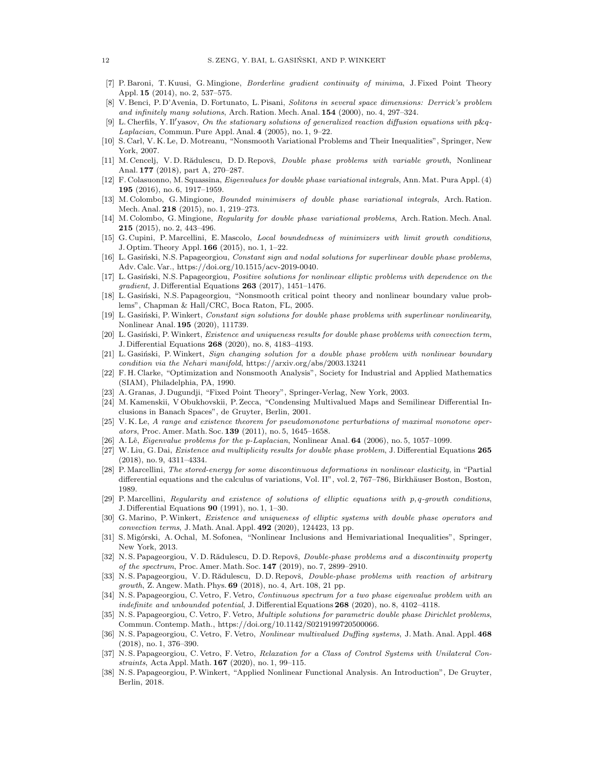- <span id="page-11-1"></span>[7] P. Baroni, T. Kuusi, G. Mingione, Borderline gradient continuity of minima, J. Fixed Point Theory Appl. 15 (2014), no. 2, 537–575.
- <span id="page-11-7"></span>[8] V. Benci, P. D'Avenia, D. Fortunato, L. Pisani, Solitons in several space dimensions: Derrick's problem and infinitely many solutions, Arch. Ration. Mech. Anal. 154 (2000), no. 4, 297–324.
- <span id="page-11-8"></span>[9] L. Cherfils, Y. Il'yasov, On the stationary solutions of generalized reaction diffusion equations with p&q-Laplacian, Commun. Pure Appl. Anal. 4 (2005), no. 1, 9–22.
- <span id="page-11-18"></span>[10] S. Carl, V. K. Le, D. Motreanu, "Nonsmooth Variational Problems and Their Inequalities", Springer, New York, 2007.
- <span id="page-11-19"></span>[11] M. Cencelj, V. D. Rădulescu, D. D. Repovš, *Double phase problems with variable growth*, Nonlinear Anal. 177 (2018), part A, 270–287.
- <span id="page-11-9"></span>[12] F. Colasuonno, M. Squassina, Eigenvalues for double phase variational integrals, Ann. Mat. Pura Appl. (4) 195 (2016), no. 6, 1917–1959.
- <span id="page-11-3"></span>[13] M. Colombo, G. Mingione, Bounded minimisers of double phase variational integrals, Arch. Ration. Mech. Anal. 218 (2015), no. 1, 219–273.
- <span id="page-11-4"></span>[14] M. Colombo, G. Mingione, Regularity for double phase variational problems, Arch. Ration. Mech. Anal. 215 (2015), no. 2, 443–496.
- <span id="page-11-2"></span>[15] G. Cupini, P. Marcellini, E. Mascolo, *Local boundedness of minimizers with limit growth conditions*, J. Optim. Theory Appl. 166 (2015), no. 1, 1–22.
- <span id="page-11-10"></span>[16] L. Gasiński, N.S. Papageorgiou, Constant sign and nodal solutions for superlinear double phase problems, Adv. Calc. Var., https://doi.org/10.1515/acv-2019-0040.
- <span id="page-11-11"></span>[17] L. Gasiński, N.S. Papageorgiou, Positive solutions for nonlinear elliptic problems with dependence on the gradient, J. Differential Equations  $263$  (2017), 1451-1476.
- <span id="page-11-21"></span>[18] L. Gasiński, N.S. Papageorgiou, "Nonsmooth critical point theory and nonlinear boundary value problems", Chapman & Hall/CRC, Boca Raton, FL, 2005.
- <span id="page-11-12"></span>[19] L. Gasiński, P. Winkert, Constant sign solutions for double phase problems with superlinear nonlinearity, Nonlinear Anal. 195 (2020), 111739.
- <span id="page-11-13"></span>[20] L. Gasiński, P. Winkert, Existence and uniqueness results for double phase problems with convection term, J. Differential Equations 268 (2020), no. 8, 4183–4193.
- <span id="page-11-14"></span>[21] L. Gasiński, P. Winkert, Sign changing solution for a double phase problem with nonlinear boundary condition via the Nehari manifold, https://arxiv.org/abs/2003.13241
- <span id="page-11-20"></span>[22] F. H. Clarke, "Optimization and Nonsmooth Analysis", Society for Industrial and Applied Mathematics (SIAM), Philadelphia, PA, 1990.
- <span id="page-11-29"></span>[23] A. Granas, J. Dugundji, "Fixed Point Theory", Springer-Verlag, New York, 2003.
- <span id="page-11-31"></span>[24] M. Kamenskii, V Obukhovskii, P. Zecca, "Condensing Multivalued Maps and Semilinear Differential Inclusions in Banach Spaces", de Gruyter, Berlin, 2001.
- <span id="page-11-0"></span>[25] V. K. Le, A range and existence theorem for pseudomonotone perturbations of maximal monotone operators, Proc. Amer. Math. Soc. 139 (2011), no. 5, 1645–1658.
- <span id="page-11-26"></span>[26] A. Lê, Eigenvalue problems for the p-Laplacian, Nonlinear Anal. 64 (2006), no. 5, 1057–1099.
- <span id="page-11-15"></span>[27] W. Liu, G. Dai, Existence and multiplicity results for double phase problem, J. Differential Equations 265 (2018), no. 9, 4311–4334.
- <span id="page-11-5"></span>[28] P. Marcellini, The stored-energy for some discontinuous deformations in nonlinear elasticity, in "Partial differential equations and the calculus of variations, Vol. II", vol. 2, 767–786, Birkhäuser Boston, Boston, 1989.
- <span id="page-11-6"></span>[29] P. Marcellini, Regularity and existence of solutions of elliptic equations with p, q-growth conditions, J. Differential Equations 90 (1991), no. 1, 1–30.
- <span id="page-11-22"></span>[30] G. Marino, P. Winkert, Existence and uniqueness of elliptic systems with double phase operators and convection terms, J. Math. Anal. Appl. 492 (2020), 124423, 13 pp.
- <span id="page-11-30"></span>[31] S. Migórski, A. Ochal, M. Sofonea, "Nonlinear Inclusions and Hemivariational Inequalities", Springer, New York, 2013.
- <span id="page-11-23"></span>[32] N. S. Papageorgiou, V. D. Rădulescu, D. D. Repovš, *Double-phase problems and a discontinuity property* of the spectrum, Proc. Amer. Math. Soc. 147 (2019), no. 7, 2899–2910.
- <span id="page-11-24"></span>[33] N. S. Papageorgiou, V. D. Rădulescu, D. D. Repovš, Double-phase problems with reaction of arbitrary growth, Z. Angew. Math. Phys. 69 (2018), no. 4, Art. 108, 21 pp.
- <span id="page-11-17"></span>[34] N. S. Papageorgiou, C. Vetro, F. Vetro, Continuous spectrum for a two phase eigenvalue problem with an indefinite and unbounded potential, J. Differential Equations 268 (2020), no. 8, 4102-4118.
- <span id="page-11-16"></span>[35] N. S. Papageorgiou, C. Vetro, F. Vetro, *Multiple solutions for parametric double phase Dirichlet problems*, Commun. Contemp. Math., https://doi.org/10.1142/S0219199720500066.
- <span id="page-11-28"></span>[36] N. S. Papageorgiou, C. Vetro, F. Vetro, Nonlinear multivalued Duffing systems, J. Math. Anal. Appl. 468 (2018), no. 1, 376–390.
- <span id="page-11-25"></span>[37] N. S. Papageorgiou, C. Vetro, F. Vetro, Relaxation for a Class of Control Systems with Unilateral Constraints, Acta Appl. Math. 167 (2020), no. 1, 99–115.
- <span id="page-11-27"></span>[38] N. S. Papageorgiou, P.Winkert, "Applied Nonlinear Functional Analysis. An Introduction", De Gruyter, Berlin, 2018.